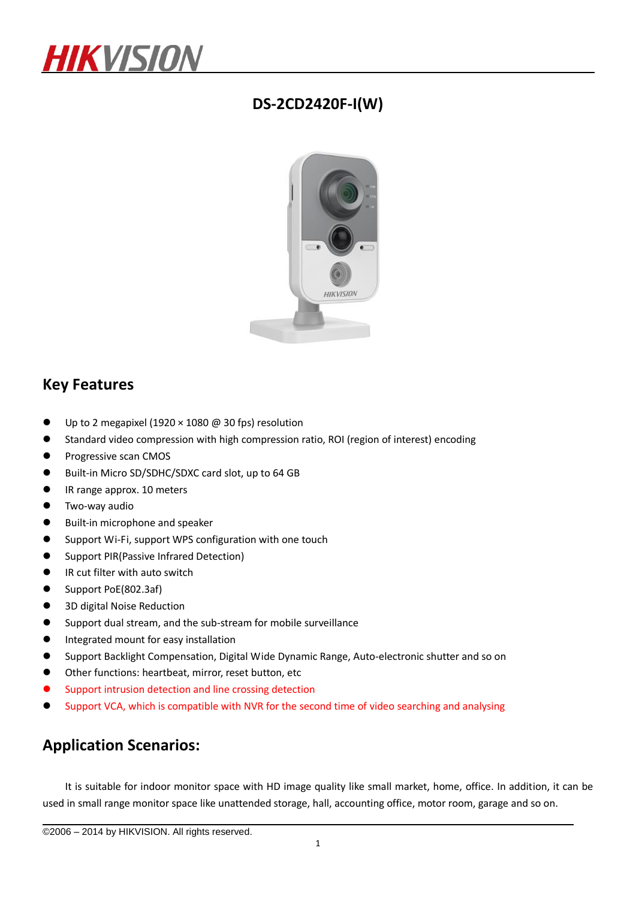

### **DS-2CD2420F-I(W)**



#### **Key Features**

- Up to 2 megapixel (1920  $\times$  1080 @ 30 fps) resolution
- Standard video compression with high compression ratio, ROI (region of interest) encoding
- **•** Progressive scan CMOS
- Built-in Micro SD/SDHC/SDXC card slot, up to 64 GB
- IR range approx. 10 meters
- Two-way audio
- Built-in microphone and speaker
- **O** Support Wi-Fi, support WPS configuration with one touch
- **•** Support PIR(Passive Infrared Detection)
- IR cut filter with auto switch
- Support PoE(802.3af)
- 3D digital Noise Reduction
- Support dual stream, and the sub-stream for mobile surveillance
- **•** Integrated mount for easy installation
- Support Backlight Compensation, Digital Wide Dynamic Range, Auto-electronic shutter and so on
- Other functions: heartbeat, mirror, reset button, etc
- Support intrusion detection and line crossing detection
- Support VCA, which is compatible with NVR for the second time of video searching and analysing

#### **Application Scenarios:**

It is suitable for indoor monitor space with HD image quality like small market, home, office. In addition, it can be used in small range monitor space like unattended storage, hall, accounting office, motor room, garage and so on.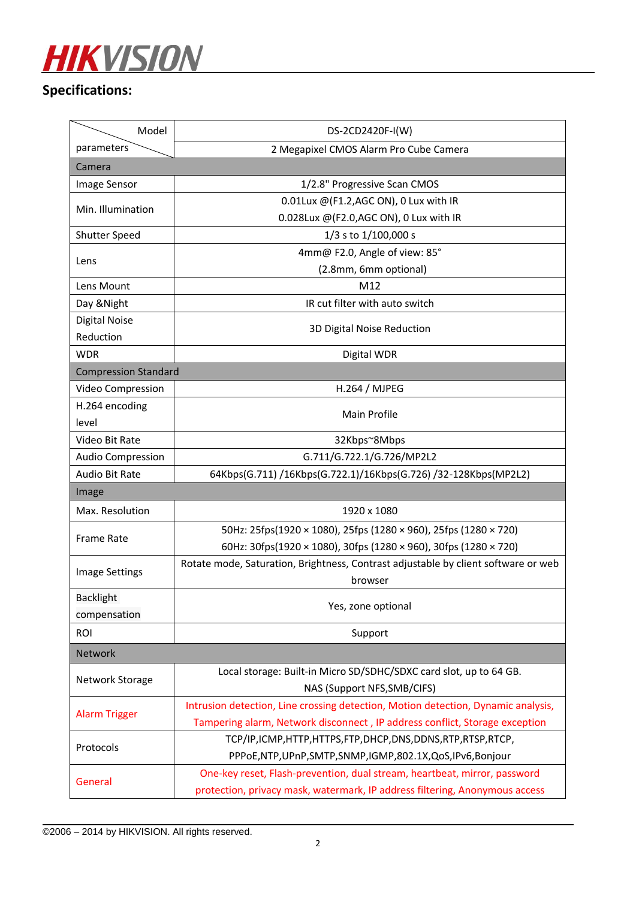

## **Specifications:**

| Model                       | DS-2CD2420F-I(W)                                                                   |  |
|-----------------------------|------------------------------------------------------------------------------------|--|
| parameters                  | 2 Megapixel CMOS Alarm Pro Cube Camera                                             |  |
| Camera                      |                                                                                    |  |
| Image Sensor                | 1/2.8" Progressive Scan CMOS                                                       |  |
| Min. Illumination           | 0.01Lux @(F1.2,AGC ON), 0 Lux with IR                                              |  |
|                             | 0.028Lux @(F2.0,AGC ON), 0 Lux with IR                                             |  |
| <b>Shutter Speed</b>        | 1/3 s to 1/100,000 s                                                               |  |
| Lens                        | 4mm@ F2.0, Angle of view: 85°                                                      |  |
|                             | (2.8mm, 6mm optional)                                                              |  |
| Lens Mount                  | M12                                                                                |  |
| Day & Night                 | IR cut filter with auto switch                                                     |  |
| <b>Digital Noise</b>        | 3D Digital Noise Reduction                                                         |  |
| Reduction                   |                                                                                    |  |
| <b>WDR</b>                  | Digital WDR                                                                        |  |
| <b>Compression Standard</b> |                                                                                    |  |
| Video Compression           | H.264 / MJPEG                                                                      |  |
| H.264 encoding              | Main Profile                                                                       |  |
| level                       |                                                                                    |  |
| Video Bit Rate              | 32Kbps~8Mbps                                                                       |  |
| <b>Audio Compression</b>    | G.711/G.722.1/G.726/MP2L2                                                          |  |
| Audio Bit Rate              | 64Kbps(G.711) /16Kbps(G.722.1)/16Kbps(G.726) /32-128Kbps(MP2L2)                    |  |
| Image                       |                                                                                    |  |
| Max. Resolution             | 1920 x 1080                                                                        |  |
| <b>Frame Rate</b>           | 50Hz: 25fps(1920 × 1080), 25fps (1280 × 960), 25fps (1280 × 720)                   |  |
|                             | 60Hz: 30fps(1920 × 1080), 30fps (1280 × 960), 30fps (1280 × 720)                   |  |
| Image Settings              | Rotate mode, Saturation, Brightness, Contrast adjustable by client software or web |  |
|                             | browser                                                                            |  |
| <b>Backlight</b>            | Yes, zone optional                                                                 |  |
| compensation                |                                                                                    |  |
| <b>ROI</b>                  | Support                                                                            |  |
| Network                     |                                                                                    |  |
| Network Storage             | Local storage: Built-in Micro SD/SDHC/SDXC card slot, up to 64 GB.                 |  |
|                             | NAS (Support NFS, SMB/CIFS)                                                        |  |
| <b>Alarm Trigger</b>        | Intrusion detection, Line crossing detection, Motion detection, Dynamic analysis,  |  |
|                             | Tampering alarm, Network disconnect, IP address conflict, Storage exception        |  |
| Protocols                   | TCP/IP,ICMP,HTTP,HTTPS,FTP,DHCP,DNS,DDNS,RTP,RTSP,RTCP,                            |  |
|                             | PPPoE,NTP,UPnP,SMTP,SNMP,IGMP,802.1X,QoS,IPv6,Bonjour                              |  |
| General                     | One-key reset, Flash-prevention, dual stream, heartbeat, mirror, password          |  |
|                             | protection, privacy mask, watermark, IP address filtering, Anonymous access        |  |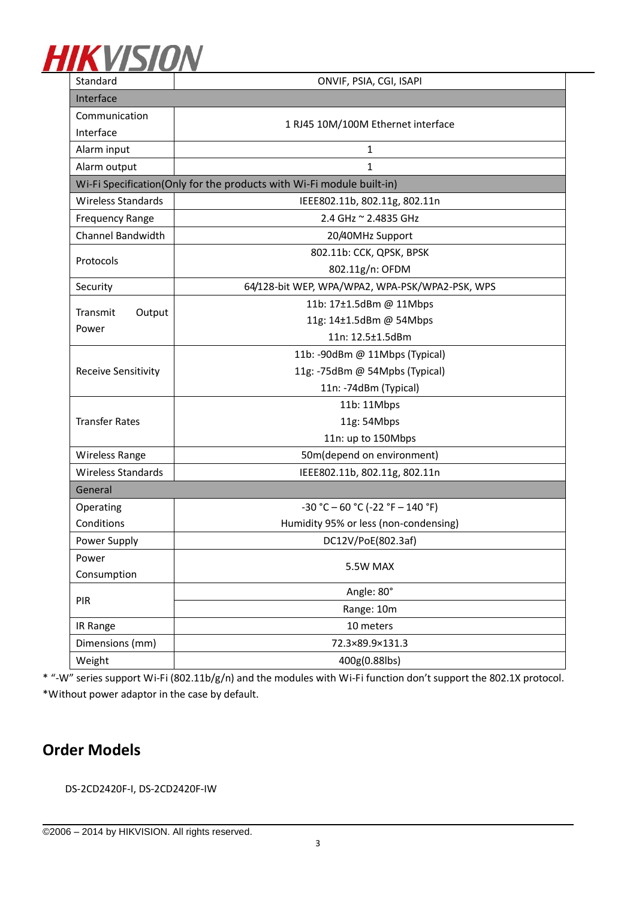

| Standard                                                              | ONVIF, PSIA, CGI, ISAPI                         |  |
|-----------------------------------------------------------------------|-------------------------------------------------|--|
| Interface                                                             |                                                 |  |
| Communication                                                         | 1 RJ45 10M/100M Ethernet interface              |  |
| Interface                                                             |                                                 |  |
| Alarm input                                                           | $\mathbf{1}$                                    |  |
| Alarm output                                                          | $\mathbf{1}$                                    |  |
| Wi-Fi Specification(Only for the products with Wi-Fi module built-in) |                                                 |  |
| <b>Wireless Standards</b>                                             | IEEE802.11b, 802.11g, 802.11n                   |  |
| <b>Frequency Range</b>                                                | 2.4 GHz ~ 2.4835 GHz                            |  |
| Channel Bandwidth                                                     | 20/40MHz Support                                |  |
| Protocols                                                             | 802.11b: CCK, QPSK, BPSK                        |  |
|                                                                       | 802.11g/n: OFDM                                 |  |
| Security                                                              | 64/128-bit WEP, WPA/WPA2, WPA-PSK/WPA2-PSK, WPS |  |
| Transmit<br>Output<br>Power                                           | 11b: 17±1.5dBm @ 11Mbps                         |  |
|                                                                       | 11g: 14±1.5dBm @ 54Mbps                         |  |
|                                                                       | 11n: 12.5±1.5dBm                                |  |
|                                                                       | 11b: -90dBm @ 11Mbps (Typical)                  |  |
| Receive Sensitivity                                                   | 11g: -75dBm @ 54Mpbs (Typical)                  |  |
|                                                                       | 11n: -74dBm (Typical)                           |  |
| <b>Transfer Rates</b>                                                 | 11b: 11Mbps                                     |  |
|                                                                       | 11g: 54Mbps                                     |  |
|                                                                       | 11n: up to 150Mbps                              |  |
| Wireless Range                                                        | 50m(depend on environment)                      |  |
| <b>Wireless Standards</b>                                             | IEEE802.11b, 802.11g, 802.11n                   |  |
| General                                                               |                                                 |  |
| Operating                                                             | $-30 °C - 60 °C (-22 °F - 140 °F)$              |  |
| Conditions                                                            | Humidity 95% or less (non-condensing)           |  |
| Power Supply                                                          | DC12V/PoE(802.3af)                              |  |
| Power                                                                 | 5.5W MAX                                        |  |
| Consumption                                                           |                                                 |  |
| PIR                                                                   | Angle: 80°                                      |  |
|                                                                       | Range: 10m                                      |  |
| IR Range                                                              | 10 meters                                       |  |
| Dimensions (mm)                                                       | 72.3×89.9×131.3                                 |  |
| Weight                                                                | 400g(0.88lbs)                                   |  |

\* "-W" series support Wi-Fi (802.11b/g/n) and the modules with Wi-Fi function don't support the 802.1X protocol. \*Without power adaptor in the case by default.

## **Order Models**

DS-2CD2420F-I, DS-2CD2420F-IW